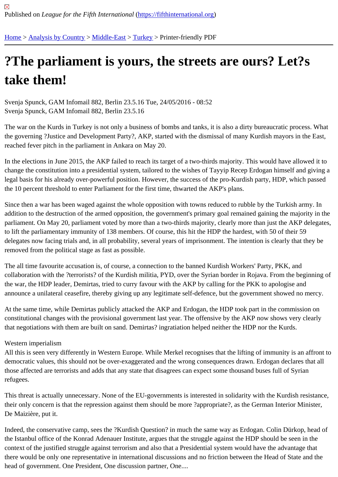## [?Th](https://fifthinternational.org/)[e parliame](https://fifthinternational.org/category/1)[nt is y](https://fifthinternational.org/category/1/178)[ours](https://fifthinternational.org/category/1/178/174), the streets are ours? Let?s take them!

Svenja Spunck, GAM Infomail 882, Berlin 23.5.16 Tue, 24/05/2016 - 08:52 Svenja Spunck, GAM Infomail 882, Berlin 23.5.16

The war on the Kurds in Turkey is not only a business of bombs and tanks, it is also a dirty bureaucratic process. N the governing ?Justice and Development Party?, AKP, started with the dismissal of many Kurdish mayors in the E reached fever pitch in the parliament in Ankara on May 20.

In the elections in June 2015, the AKP failed to reach its target of a two-thirds majority. This would have allowed it change the constitution into a presidential system, tailored to the wishes of Tayyip Recep Erdogan himself and giv legal basis for his already over-powerful position. However, the success of the pro-Kurdish party, HDP, which pass the 10 percent threshold to enter Parliament for the first time, thwarted the AKP's plans.

Since then a war has been waged against the whole opposition with towns reduced to rubble by the Turkish army. addition to the destruction of the armed opposition, the government's primary goal remained gaining the majority in parliament. On May 20, parliament voted by more than a two-thirds majority, clearly more than just the AKP delega to lift the parliamentary immunity of 138 members. Of course, this hit the HDP the hardest, with 50 of their 59 delegates now facing trials and, in all probability, several years of imprisonment. The intention is clearly that they b removed from the political stage as fast as possible.

The all time favourite accusation is, of course, a connection to the banned Kurdish Workers' Party, PKK, and collaboration with the ?terrorists? of the Kurdish militia, PYD, over the Syrian border in Rojava. From the beginning the war, the HDP leader, Demirtas, tried to curry favour with the AKP by calling for the PKK to apologise and announce a unilateral ceasefire, thereby giving up any legitimate self-defence, but the government showed no me

At the same time, while Demirtas publicly attacked the AKP and Erdogan, the HDP took part in the commission on constitutional changes with the provisional government last year. The offensive by the AKP now shows very clearly that negotiations with them are built on sand. Demirtas? ingratiation helped neither the HDP nor the Kurds.

## Western imperialism

All this is seen very differently in Western Europe. While Merkel recognises that the lifting of immunity is an affront democratic values, this should not be over-exaggerated and the wrong consequences drawn. Erdogan declares th those affected are terrorists and adds that any state that disagrees can expect some thousand buses full of Syrian refugees.

This threat is actually unnecessary. None of the EU-governments is interested in solidarity with the Kurdish resista their only concern is that the repression against them should be more ?appropriate?, as the German Interior Minis De Maizière, put it.

Indeed, the conservative camp, sees the ?Kurdish Question? in much the same way as Erdogan. Colin Dürkop, he the Istanbul office of the Konrad Adenauer Institute, argues that the struggle against the HDP should be seen in th context of the justified struggle against terrorism and also that a Presidential system would have the advantage tha there would be only one representative in international discussions and no friction between the Head of State and head of government. One President, One discussion partner, One....